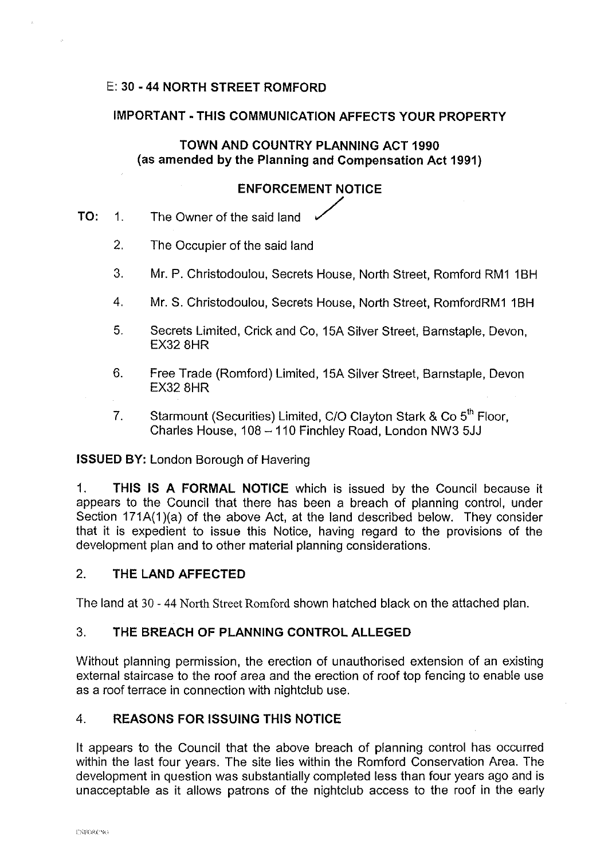# E: **30** - **44 NORTH STREET ROMFORD**

### **IMPORTANT -THIS COMMUNICATION AFFECTS YOUR PROPERTY**

**TOWN AND COUNTRY PLANNING ACT 1990 (as amended by the Planning and Compensation Act 1991)** 

# **ENFORCEMENT NOTICE**

- **TO:** 1. The Owner of the said land
	- 2. The Occupier of the said land
	- 3. Mr. P. Christodoulou, Secrets House, North Street, Romford RM1 1BH
	- 4. Mr. S. Christodoulou, Secrets House, North Street, RomfordRM1 1BH
	- 5. Secrets Limited, Crick and Co, 15A Silver Street, Barnstaple, Devon, EX32 8HR
	- 6. Free Trade (Romford) Limited, 15A Silver Street, Barnstaple, Devon EX32 8HR
	- 7. Starmount (Securities) Limited, C/O Clayton Stark & Co  $5<sup>th</sup>$  Floor, Charles House, 108-110 Finchley Road, London NW3 5JJ

### **ISSUED BY: London Borough of Havering**

1. **THIS IS A FORMAL NOTICE** which is issued by the Council because it appears to the Council that there has been a breach of planning control, under Section 171A(1)(a) of the above Act, at the land described below. They consider that it is expedient to issue this Notice, having regard to the provisions of the development plan and to other material planning considerations.

# 2. **THE LAND AFFECTED**

The land at 30 - 44 North Street Romford shown hatched black on the attached plan.

### 3. **THE BREACH OF PLANNING CONTROL ALLEGED**

Without planning permission, the erection of unauthorised extension of an existing external staircase to the roof area and the erection of roof top fencing to enable use as a roof terrace in connection with nightclub use.

### 4. **REASONS FOR ISSUING THIS NOTICE**

It appears to the Council that the above breach of planning control has occurred within the last four years. The site lies within the Romford Conservation Area. The development in question was substantially completed less than four years ago and is unacceptable as it allows patrons of the nightclub access to the roof in the early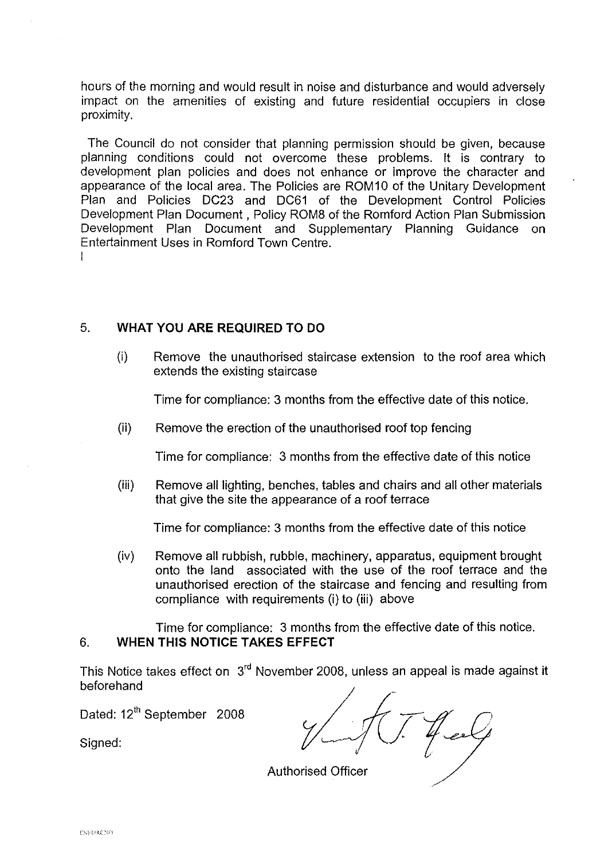hours of the morning and would result in noise and disturbance and would adversely impact on the amenities of existing and future residential occupiers in close proximity.

I The Council do not consider that planning permission should be given, because planning conditions could not overcome these problems. It is contrary to development plan policies and does not enhance or improve the character and appearance of the local area. The Policies are ROM10 of the Unitary Development Plan and Policies DC23 and DC61 of the Development Control Policies Development Plan Document , Policy ROM8 of the Romford Action Plan Submission Development Plan Document and Supplementary Planning Guidance on Entertainment Uses in Romford Town Centre.

# 5. **WHAT YOU ARE REQUIRED TO DO**

(i) Remove the unauthorised staircase extension to the roof area which extends the existing staircase

Time for compliance: 3 months from the effective date of this notice.

(ii) Remove the erection of the unauthorised roof top fencing

Time for compliance: 3 months from the effective date of this notice

(iii) Remove all lighting, benches, tables and chairs and all other materials that give the site the appearance of a roof terrace

Time for compliance: 3 months from the effective date of this notice

(iv) Remove all rubbish, rubble, machinery, apparatus, equipment brought onto the land associated with the use of the roof terrace and the unauthorised erection of the staircase and fencing and resulting from compliance with requirements (i) to (iii) above

Time for compliance: 3 months from the effective date of this notice. 6. **WHEN THIS NOTICE TAKES EFFECT** 

This Notice takes effect on 3rd November 2008, unless an appeal is made against it beforehand

Dated: 12<sup>th</sup> September 2008

Signed:

Authorised Officer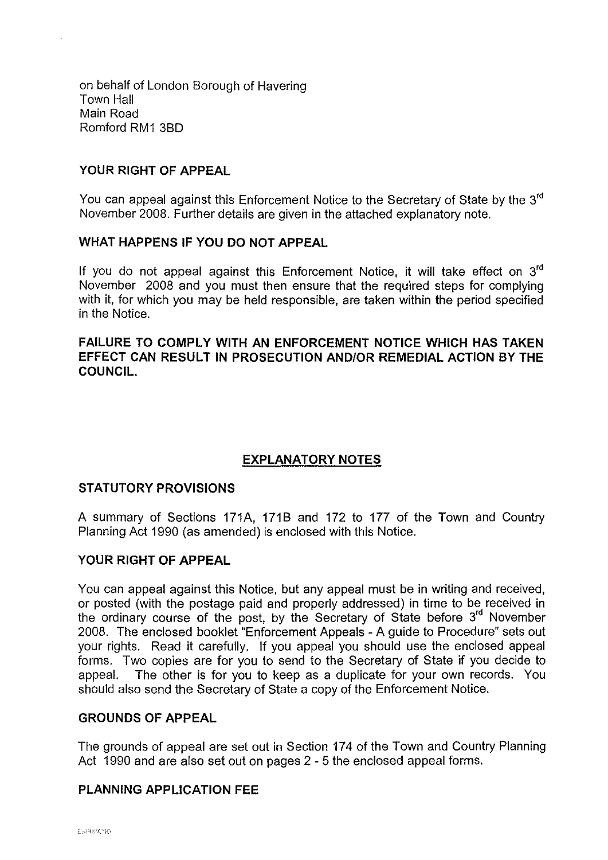on behalf of London Borough of Havering Town Hall Main Road Romford RM1 3B0

### **YOUR RIGHT OF APPEAL**

You can appeal against this Enforcement Notice to the Secretary of State by the 3<sup>rd</sup> November 2008. Further details are given in the attached explanatory note.

#### **WHAT HAPPENS IF YOU DO NOT APPEAL**

If you do not appeal against this Enforcement Notice, it will take effect on  $3<sup>rd</sup>$ November 2008 and you must then ensure that the required steps for complying with it, for which you may be held responsible, are taken within the period specified in the Notice.

#### **FAILURE TO COMPLY WITH AN ENFORCEMENT NOTICE WHICH HAS TAKEN EFFECT CAN RESULT IN PROSECUTION AND/OR REMEDIAL ACTION BY THE COUNCIL.**

# **EXPLANATORY NOTES**

### **STATUTORY PROVISIONS**

A summary of Sections 171A, 1718 and 172 to 177 of the Town and Country Planning Act 1990 (as amended) is enclosed with this Notice.

### **YOUR RIGHT OF APPEAL**

You can appeal against this Notice, but any appeal must be in writing and received, or posted (with the postage paid and properly addressed) in time to be received in the ordinary course of the post, by the Secretary of State before 3<sup>rd</sup> November 2008. The enclosed booklet "Enforcement Appeals - A guide to Procedure" sets out your rights. Read it carefully. If you appeal you should use the enclosed appeal forms. Two copies are for you to send to the Secretary of State if you decide to appeal. The other is for you to keep as a duplicate for your own records. You should also send the Secretary of State a copy of the Enforcement Notice.

#### **GROUNDS OF APPEAL**

The grounds of appeal are set out in Section 174 of the Town and Country Planning Act 1990 and are also set out on pages 2 - 5 the enclosed appeal forms.

### **PLANNING APPLICATION FEE**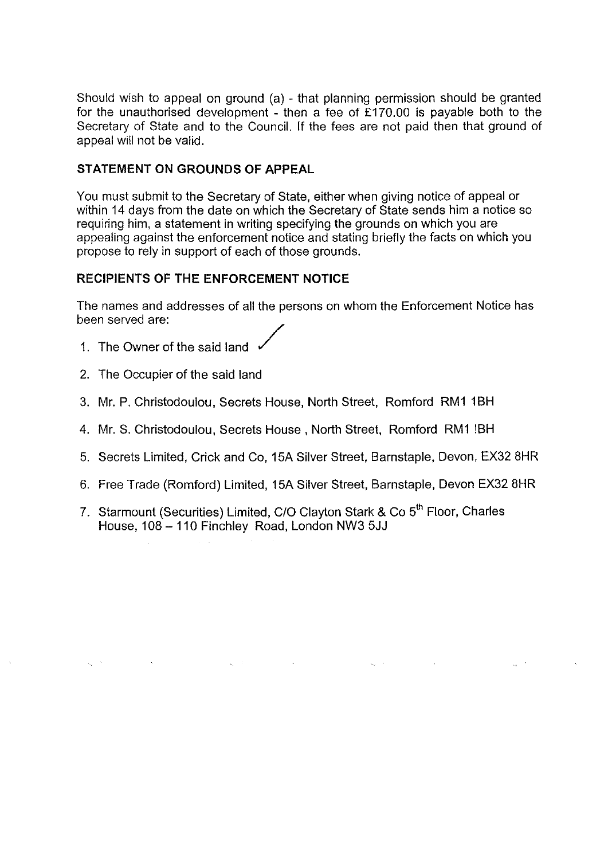Should wish to appeal on ground (a) - that planning permission should be granted for the unauthorised development - then a fee of £170.00 is payable both to the Secretary of State and to the Council. If the fees are not paid then that ground of appeal will not be valid.

# **STATEMENT ON GROUNDS OF APPEAL**

You must submit to the Secretary of State, either when giving notice of appeal or within 14 days from the date on which the Secretary of State sends him a notice so requiring him, a statement in writing specifying the grounds on which you are appealing against the enforcement notice and stating briefly the facts on which you propose to rely in support of each of those grounds.

### **RECIPIENTS OF THE ENFORCEMENT NOTICE**

The names and addresses of all the persons on whom the Enforcement Notice has been served are:

- 1. The Owner of the said land /
- 2. The Occupier of the said land
- 3. Mr. P. Christodoulou, Secrets House, North Street, Romford RM1 1BH
- 4. Mr. S. Christodoulou, Secrets House, North Street, Romford RM1 !BH
- 5. Secrets Limited, Crick and Co, 15A Silver Street, Barnstaple, Devon, EX32 8HR
- 6. Free Trade (Romford) Limited, 15A Silver Street, Barnstaple, Devon EX32 8HR
- 7. Starmount (Securities) Limited, C/O Clayton Stark & Co 5<sup>th</sup> Floor, Charles House, 108 - 110 Finchley Road, London NW3 5JJ

 $\zeta_2 = \lambda^2$